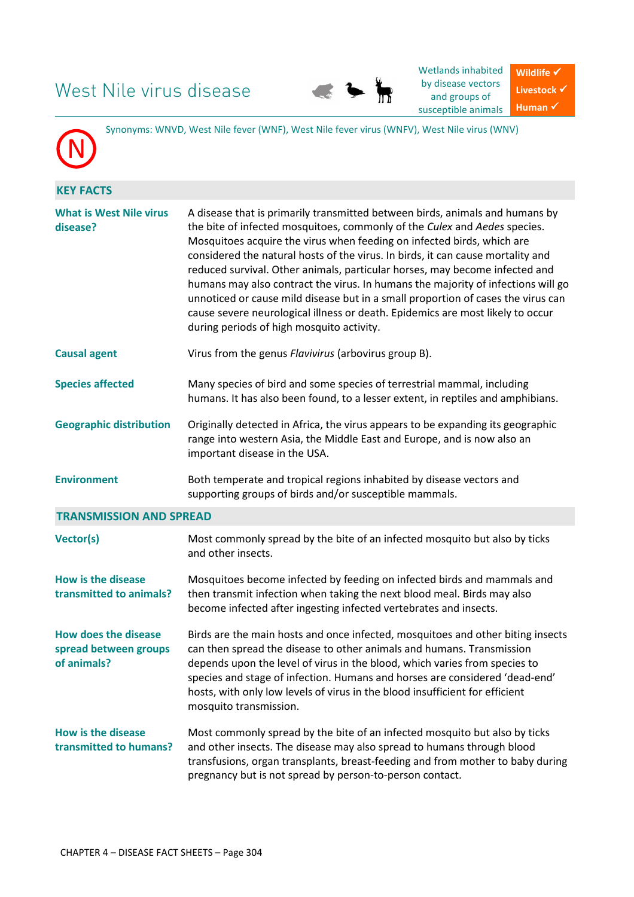## West Nile virus disease



Wetlands inhabited by disease vectors and groups of susceptible animals

Wildlife  $\checkmark$ Livestock  $\checkmark$ **Human** ✔



Synonyms: WNVD, West Nile fever (WNF), West Nile fever virus (WNFV), West Nile virus (WNV)

# **KEY FACTS**

| <b>What is West Nile virus</b><br>disease?                          | A disease that is primarily transmitted between birds, animals and humans by<br>the bite of infected mosquitoes, commonly of the Culex and Aedes species.<br>Mosquitoes acquire the virus when feeding on infected birds, which are<br>considered the natural hosts of the virus. In birds, it can cause mortality and<br>reduced survival. Other animals, particular horses, may become infected and<br>humans may also contract the virus. In humans the majority of infections will go<br>unnoticed or cause mild disease but in a small proportion of cases the virus can<br>cause severe neurological illness or death. Epidemics are most likely to occur<br>during periods of high mosquito activity. |
|---------------------------------------------------------------------|--------------------------------------------------------------------------------------------------------------------------------------------------------------------------------------------------------------------------------------------------------------------------------------------------------------------------------------------------------------------------------------------------------------------------------------------------------------------------------------------------------------------------------------------------------------------------------------------------------------------------------------------------------------------------------------------------------------|
| <b>Causal agent</b>                                                 | Virus from the genus Flavivirus (arbovirus group B).                                                                                                                                                                                                                                                                                                                                                                                                                                                                                                                                                                                                                                                         |
| <b>Species affected</b>                                             | Many species of bird and some species of terrestrial mammal, including<br>humans. It has also been found, to a lesser extent, in reptiles and amphibians.                                                                                                                                                                                                                                                                                                                                                                                                                                                                                                                                                    |
| <b>Geographic distribution</b>                                      | Originally detected in Africa, the virus appears to be expanding its geographic<br>range into western Asia, the Middle East and Europe, and is now also an<br>important disease in the USA.                                                                                                                                                                                                                                                                                                                                                                                                                                                                                                                  |
| <b>Environment</b>                                                  | Both temperate and tropical regions inhabited by disease vectors and<br>supporting groups of birds and/or susceptible mammals.                                                                                                                                                                                                                                                                                                                                                                                                                                                                                                                                                                               |
| <b>TRANSMISSION AND SPREAD</b>                                      |                                                                                                                                                                                                                                                                                                                                                                                                                                                                                                                                                                                                                                                                                                              |
| Vector(s)                                                           | Most commonly spread by the bite of an infected mosquito but also by ticks<br>and other insects.                                                                                                                                                                                                                                                                                                                                                                                                                                                                                                                                                                                                             |
| <b>How is the disease</b><br>transmitted to animals?                | Mosquitoes become infected by feeding on infected birds and mammals and<br>then transmit infection when taking the next blood meal. Birds may also<br>become infected after ingesting infected vertebrates and insects.                                                                                                                                                                                                                                                                                                                                                                                                                                                                                      |
| <b>How does the disease</b><br>spread between groups<br>of animals? | Birds are the main hosts and once infected, mosquitoes and other biting insects<br>can then spread the disease to other animals and humans. Transmission<br>depends upon the level of virus in the blood, which varies from species to<br>species and stage of infection. Humans and horses are considered 'dead-end'<br>hosts, with only low levels of virus in the blood insufficient for efficient<br>mosquito transmission.                                                                                                                                                                                                                                                                              |
| <b>How is the disease</b><br>transmitted to humans?                 | Most commonly spread by the bite of an infected mosquito but also by ticks<br>and other insects. The disease may also spread to humans through blood<br>transfusions, organ transplants, breast-feeding and from mother to baby during<br>pregnancy but is not spread by person-to-person contact.                                                                                                                                                                                                                                                                                                                                                                                                           |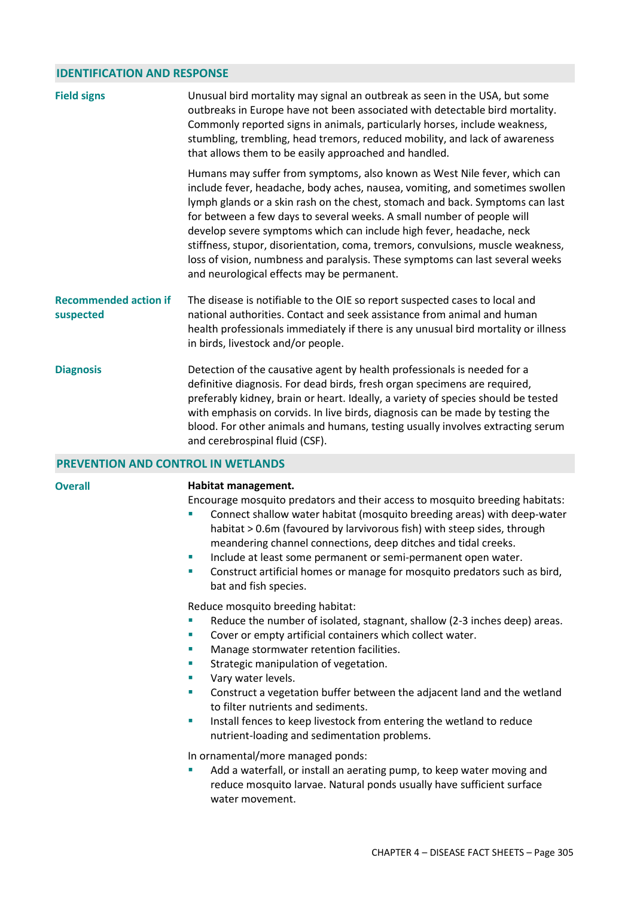### **IDENTIFICATION AND RESPONSE**

| <b>Field signs</b>                        | Unusual bird mortality may signal an outbreak as seen in the USA, but some<br>outbreaks in Europe have not been associated with detectable bird mortality.<br>Commonly reported signs in animals, particularly horses, include weakness,<br>stumbling, trembling, head tremors, reduced mobility, and lack of awareness<br>that allows them to be easily approached and handled.                                                                                                                                                                                                                               |
|-------------------------------------------|----------------------------------------------------------------------------------------------------------------------------------------------------------------------------------------------------------------------------------------------------------------------------------------------------------------------------------------------------------------------------------------------------------------------------------------------------------------------------------------------------------------------------------------------------------------------------------------------------------------|
|                                           | Humans may suffer from symptoms, also known as West Nile fever, which can<br>include fever, headache, body aches, nausea, vomiting, and sometimes swollen<br>lymph glands or a skin rash on the chest, stomach and back. Symptoms can last<br>for between a few days to several weeks. A small number of people will<br>develop severe symptoms which can include high fever, headache, neck<br>stiffness, stupor, disorientation, coma, tremors, convulsions, muscle weakness,<br>loss of vision, numbness and paralysis. These symptoms can last several weeks<br>and neurological effects may be permanent. |
| <b>Recommended action if</b><br>suspected | The disease is notifiable to the OIE so report suspected cases to local and<br>national authorities. Contact and seek assistance from animal and human<br>health professionals immediately if there is any unusual bird mortality or illness<br>in birds, livestock and/or people.                                                                                                                                                                                                                                                                                                                             |
| <b>Diagnosis</b>                          | Detection of the causative agent by health professionals is needed for a<br>definitive diagnosis. For dead birds, fresh organ specimens are required,<br>preferably kidney, brain or heart. Ideally, a variety of species should be tested<br>with emphasis on corvids. In live birds, diagnosis can be made by testing the<br>blood. For other animals and humans, testing usually involves extracting serum<br>and cerebrospinal fluid (CSF).                                                                                                                                                                |
|                                           | . <i>.</i>                                                                                                                                                                                                                                                                                                                                                                                                                                                                                                                                                                                                     |

#### **PREVENTION AND CONTROL IN WETLANDS**

#### **Overall Habitat management.**

Encourage mosquito predators and their access to mosquito breeding habitats:

- Connect shallow water habitat (mosquito breeding areas) with deep-water habitat > 0.6m (favoured by larvivorous fish) with steep sides, through meandering channel connections, deep ditches and tidal creeks.
- **Include at least some permanent or semi-permanent open water.**
- **Construct artificial homes or manage for mosquito predators such as bird,** bat and fish species.

Reduce mosquito breeding habitat:

- Reduce the number of isolated, stagnant, shallow (2-3 inches deep) areas.
- **Cover or empty artificial containers which collect water.**
- Manage stormwater retention facilities.
- Strategic manipulation of vegetation.
- **Vary water levels.**
- **EXECONSTRUCT A VEGETATION DUFFER DETA** between the adjacent land and the wetland to filter nutrients and sediments.
- Install fences to keep livestock from entering the wetland to reduce nutrient-loading and sedimentation problems.

In ornamental/more managed ponds:

 Add a waterfall, or install an aerating pump, to keep water moving and reduce mosquito larvae. Natural ponds usually have sufficient surface water movement.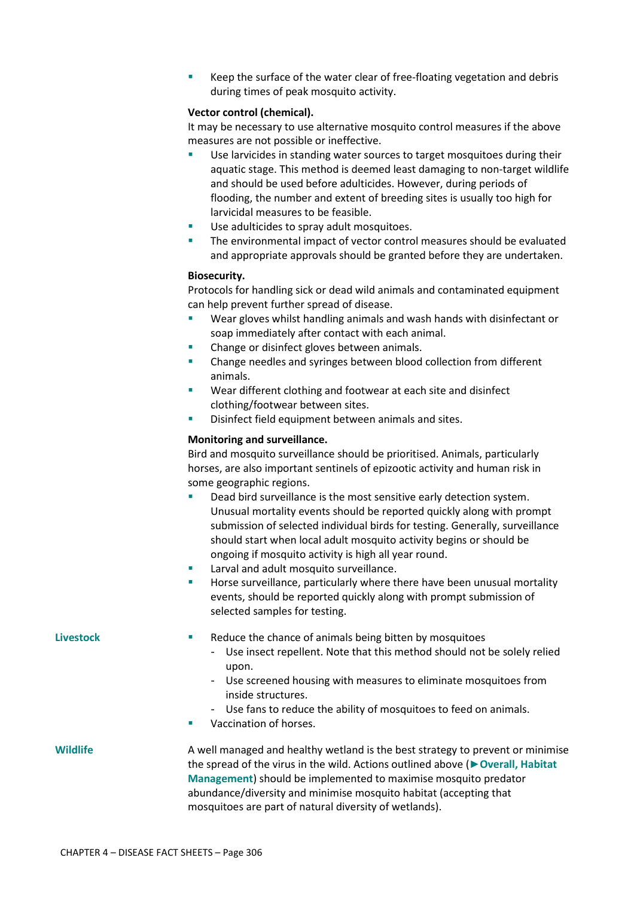Keep the surface of the water clear of free-floating vegetation and debris during times of peak mosquito activity.

#### **Vector control (chemical).**

It may be necessary to use alternative mosquito control measures if the above measures are not possible or ineffective.

- Use larvicides in standing water sources to target mosquitoes during their aquatic stage. This method is deemed least damaging to non-target wildlife and should be used before adulticides. However, during periods of flooding, the number and extent of breeding sites is usually too high for larvicidal measures to be feasible.
- **Use adulticides to spray adult mosquitoes.**
- The environmental impact of vector control measures should be evaluated and appropriate approvals should be granted before they are undertaken.

#### **Biosecurity.**

Protocols for handling sick or dead wild animals and contaminated equipment can help prevent further spread of disease.

- Wear gloves whilst handling animals and wash hands with disinfectant or soap immediately after contact with each animal.
- Change or disinfect gloves between animals.
- Change needles and syringes between blood collection from different animals.
- Wear different clothing and footwear at each site and disinfect clothing/footwear between sites.
- Disinfect field equipment between animals and sites.

#### **Monitoring and surveillance.**

Bird and mosquito surveillance should be prioritised. Animals, particularly horses, are also important sentinels of epizootic activity and human risk in some geographic regions.

- Dead bird surveillance is the most sensitive early detection system. Unusual mortality events should be reported quickly along with prompt submission of selected individual birds for testing. Generally, surveillance should start when local adult mosquito activity begins or should be ongoing if mosquito activity is high all year round.
- Larval and adult mosquito surveillance.
- **Horse surveillance, particularly where there have been unusual mortality** events, should be reported quickly along with prompt submission of selected samples for testing.

#### **Livestock Reduce the chance of animals being bitten by mosquitoes**

- Use insect repellent. Note that this method should not be solely relied upon.
- Use screened housing with measures to eliminate mosquitoes from inside structures.
- Use fans to reduce the ability of mosquitoes to feed on animals.
- Vaccination of horses.

Wildlife **A** well managed and healthy wetland is the best strategy to prevent or minimise the spread of the virus in the wild. Actions outlined above (**►Overall, Habitat Management**) should be implemented to maximise mosquito predator abundance/diversity and minimise mosquito habitat (accepting that mosquitoes are part of natural diversity of wetlands).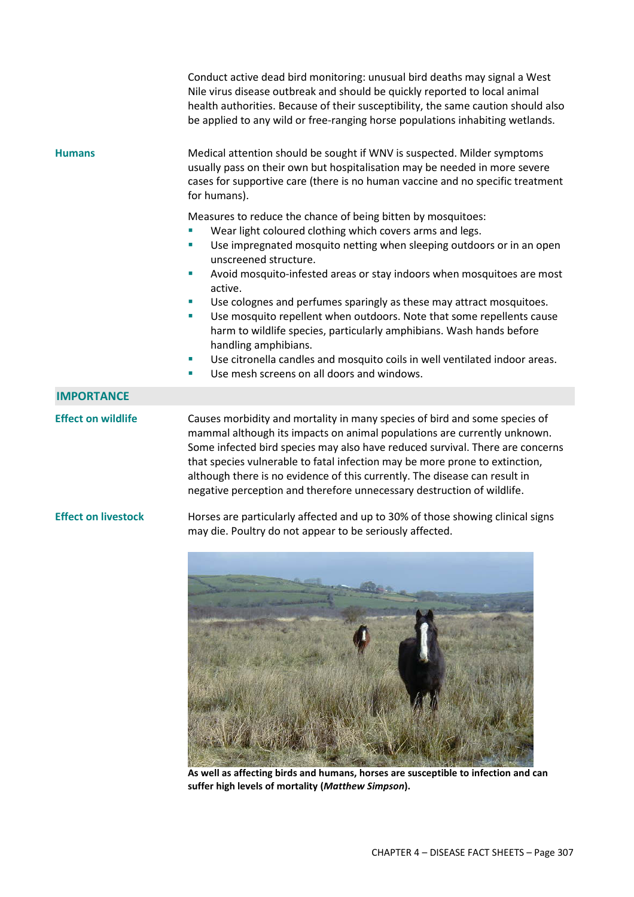|                            | Conduct active dead bird monitoring: unusual bird deaths may signal a West<br>Nile virus disease outbreak and should be quickly reported to local animal<br>health authorities. Because of their susceptibility, the same caution should also<br>be applied to any wild or free-ranging horse populations inhabiting wetlands.                                                                                                                                                                                                                                                                                                                                                                                                                                                 |
|----------------------------|--------------------------------------------------------------------------------------------------------------------------------------------------------------------------------------------------------------------------------------------------------------------------------------------------------------------------------------------------------------------------------------------------------------------------------------------------------------------------------------------------------------------------------------------------------------------------------------------------------------------------------------------------------------------------------------------------------------------------------------------------------------------------------|
| <b>Humans</b>              | Medical attention should be sought if WNV is suspected. Milder symptoms<br>usually pass on their own but hospitalisation may be needed in more severe<br>cases for supportive care (there is no human vaccine and no specific treatment<br>for humans).                                                                                                                                                                                                                                                                                                                                                                                                                                                                                                                        |
|                            | Measures to reduce the chance of being bitten by mosquitoes:<br>Wear light coloured clothing which covers arms and legs.<br>Use impregnated mosquito netting when sleeping outdoors or in an open<br>×<br>unscreened structure.<br>Avoid mosquito-infested areas or stay indoors when mosquitoes are most<br>×<br>active.<br>Use colognes and perfumes sparingly as these may attract mosquitoes.<br>×<br>Use mosquito repellent when outdoors. Note that some repellents cause<br>$\mathcal{L}_{\mathcal{A}}$<br>harm to wildlife species, particularly amphibians. Wash hands before<br>handling amphibians.<br>Use citronella candles and mosquito coils in well ventilated indoor areas.<br>$\mathcal{L}_{\mathcal{A}}$<br>Use mesh screens on all doors and windows.<br>ш |
| <b>IMPORTANCE</b>          |                                                                                                                                                                                                                                                                                                                                                                                                                                                                                                                                                                                                                                                                                                                                                                                |
| <b>Effect on wildlife</b>  | Causes morbidity and mortality in many species of bird and some species of<br>mammal although its impacts on animal populations are currently unknown.<br>Some infected bird species may also have reduced survival. There are concerns<br>that species vulnerable to fatal infection may be more prone to extinction,<br>although there is no evidence of this currently. The disease can result in<br>negative perception and therefore unnecessary destruction of wildlife.                                                                                                                                                                                                                                                                                                 |
| <b>Effect on livestock</b> | Horses are particularly affected and up to 30% of those showing clinical signs<br>may die. Poultry do not appear to be seriously affected.                                                                                                                                                                                                                                                                                                                                                                                                                                                                                                                                                                                                                                     |



**As well as affecting birds and humans, horses are susceptible to infection and can suffer high levels of mortality (***Matthew Simpson***).**